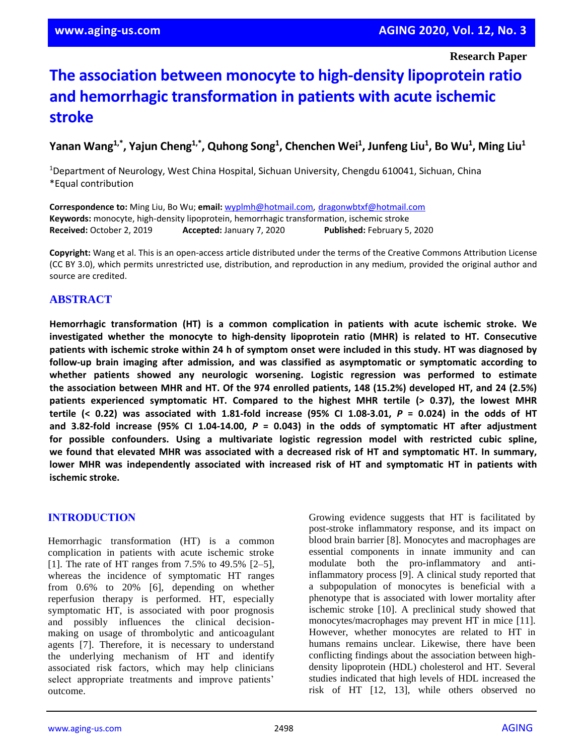**Research Paper**

# **The association between monocyte to high-density lipoprotein ratio and hemorrhagic transformation in patients with acute ischemic stroke**

**Yanan Wang1,\* , Yajun Cheng1,\* , Quhong Song<sup>1</sup> , Chenchen Wei<sup>1</sup> , Junfeng Liu<sup>1</sup> , Bo Wu<sup>1</sup> , Ming Liu<sup>1</sup>**

<sup>1</sup>Department of Neurology, West China Hospital, Sichuan University, Chengdu 610041, Sichuan, China \*Equal contribution

**Correspondence to:** Ming Liu, Bo Wu; **email:** [wyplmh@hotmail.com,](mailto:wyplmh@hotmail.com) [dragonwbtxf@hotmail.com](mailto:dragonwbtxf@hotmail.com) **Keywords:** monocyte, high-density lipoprotein, hemorrhagic transformation, ischemic stroke **Received:** October 2, 2019 **Accepted:** January 7, 2020 **Published:** February 5, 2020

**Copyright:** Wang et al. This is an open-access article distributed under the terms of the Creative Commons Attribution License (CC BY 3.0), which permits unrestricted use, distribution, and reproduction in any medium, provided the original author and source are credited.

# **ABSTRACT**

**Hemorrhagic transformation (HT) is a common complication in patients with acute ischemic stroke. We investigated whether the monocyte to high-density lipoprotein ratio (MHR) is related to HT. Consecutive** patients with ischemic stroke within 24 h of symptom onset were included in this study. HT was diagnosed by **follow-up brain imaging after admission, and was classified as asymptomatic or symptomatic according to whether patients showed any neurologic worsening. Logistic regression was performed to estimate** the association between MHR and HT. Of the 974 enrolled patients, 148 (15.2%) developed HT, and 24 (2.5%) **patients experienced symptomatic HT. Compared to the highest MHR tertile (> 0.37), the lowest MHR** tertile (< 0.22) was associated with 1.81-fold increase (95% CI 1.08-3.01,  $P = 0.024$ ) in the odds of HT **and 3.82-fold increase (95% CI 1.04-14.00,** *P* **= 0.043) in the odds of symptomatic HT after adjustment for possible confounders. Using a multivariate logistic regression model with restricted cubic spline,** we found that elevated MHR was associated with a decreased risk of HT and symptomatic HT. In summary, **lower MHR was independently associated with increased risk of HT and symptomatic HT in patients with ischemic stroke.**

#### **INTRODUCTION**

Hemorrhagic transformation (HT) is a common complication in patients with acute ischemic stroke [1]. The rate of HT ranges from 7.5% to 49.5% [2–5], whereas the incidence of symptomatic HT ranges from 0.6% to 20% [6], depending on whether reperfusion therapy is performed. HT, especially symptomatic HT, is associated with poor prognosis and possibly influences the clinical decisionmaking on usage of thrombolytic and anticoagulant agents [7]. Therefore, it is necessary to understand the underlying mechanism of HT and identify associated risk factors, which may help clinicians select appropriate treatments and improve patients' outcome.

Growing evidence suggests that HT is facilitated by post-stroke inflammatory response, and its impact on blood brain barrier [8]. Monocytes and macrophages are essential components in innate immunity and can modulate both the pro-inflammatory and antiinflammatory process [9]. A clinical study reported that a subpopulation of monocytes is beneficial with a phenotype that is associated with lower mortality after ischemic stroke [10]. A preclinical study showed that monocytes/macrophages may prevent HT in mice [11]. However, whether monocytes are related to HT in humans remains unclear. Likewise, there have been conflicting findings about the association between highdensity lipoprotein (HDL) cholesterol and HT. Several studies indicated that high levels of HDL increased the risk of HT [12, 13], while others observed no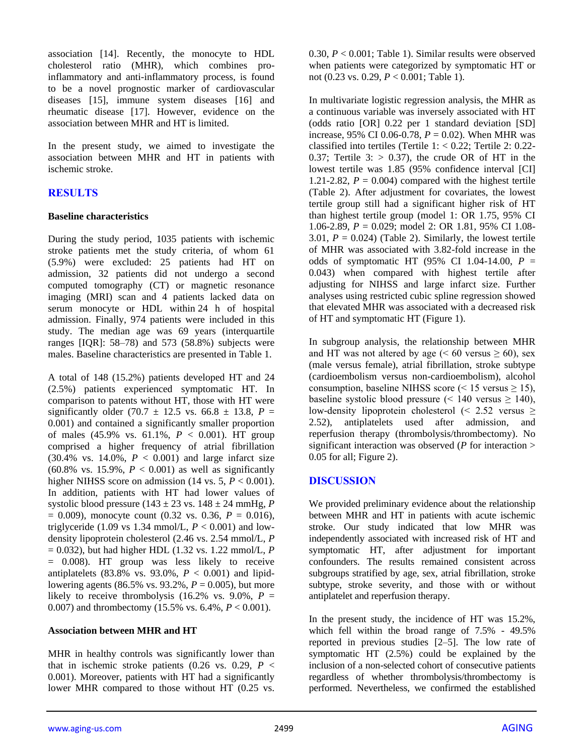association [14]. Recently, the monocyte to HDL cholesterol ratio (MHR), which combines proinflammatory and anti-inflammatory process, is found to be a novel prognostic marker of cardiovascular diseases [15], immune system diseases [16] and rheumatic disease [17]. However, evidence on the association between MHR and HT is limited.

In the present study, we aimed to investigate the association between MHR and HT in patients with ischemic stroke.

# **RESULTS**

#### **Baseline characteristics**

During the study period, 1035 patients with ischemic stroke patients met the study criteria, of whom 61 (5.9%) were excluded: 25 patients had HT on admission, 32 patients did not undergo a second computed tomography (CT) or magnetic resonance imaging (MRI) scan and 4 patients lacked data on serum monocyte or HDL within 24 h of hospital admission. Finally, 974 patients were included in this study. The median age was 69 years (interquartile ranges [IQR]: 58–78) and 573 (58.8%) subjects were males. Baseline characteristics are presented in Table 1.

A total of 148 (15.2%) patients developed HT and 24 (2.5%) patients experienced symptomatic HT. In comparison to patents without HT, those with HT were significantly older  $(70.7 \pm 12.5 \text{ vs. } 66.8 \pm 13.8, P =$ 0.001) and contained a significantly smaller proportion of males (45.9% vs. 61.1%, *P* < 0.001). HT group comprised a higher frequency of atrial fibrillation  $(30.4\% \text{ vs. } 14.0\%, P < 0.001)$  and large infarct size (60.8% vs. 15.9%,  $P < 0.001$ ) as well as significantly higher NIHSS score on admission (14 vs.  $5, P < 0.001$ ). In addition, patients with HT had lower values of systolic blood pressure (143 ± 23 vs. 148 ± 24 mmHg, *P*  $= 0.009$ ), monocyte count (0.32 vs. 0.36,  $P = 0.016$ ), triglyceride (1.09 vs 1.34 mmol/L,  $P < 0.001$ ) and lowdensity lipoprotein cholesterol (2.46 vs. 2.54 mmol/L, *P* = 0.032), but had higher HDL (1.32 vs. 1.22 mmol/L, *P* = 0.008). HT group was less likely to receive antiplatelets  $(83.8\% \text{ vs. } 93.0\%, P < 0.001)$  and lipidlowering agents (86.5% vs. 93.2%,  $P = 0.005$ ), but more likely to receive thrombolysis (16.2% vs. 9.0%,  $P =$ 0.007) and thrombectomy (15.5% vs. 6.4%, *P* < 0.001).

#### **Association between MHR and HT**

MHR in healthy controls was significantly lower than that in ischemic stroke patients  $(0.26 \text{ vs. } 0.29, P \leq$ 0.001). Moreover, patients with HT had a significantly lower MHR compared to those without HT (0.25 vs. 0.30, *P* < 0.001; Table 1). Similar results were observed when patients were categorized by symptomatic HT or not (0.23 vs. 0.29, *P* < 0.001; Table 1).

In multivariate logistic regression analysis, the MHR as a continuous variable was inversely associated with HT (odds ratio [OR] 0.22 per 1 standard deviation [SD] increase, 95% CI 0.06-0.78,  $P = 0.02$ ). When MHR was classified into tertiles (Tertile  $1: 0.22$ ; Tertile  $2: 0.22$ -0.37; Tertile  $3:$  > 0.37), the crude OR of HT in the lowest tertile was 1.85 (95% confidence interval [CI] 1.21-2.82,  $P = 0.004$ ) compared with the highest tertile (Table 2). After adjustment for covariates, the lowest tertile group still had a significant higher risk of HT than highest tertile group (model 1: OR 1.75, 95% CI 1.06-2.89, *P* = 0.029; model 2: OR 1.81, 95% CI 1.08- 3.01,  $P = 0.024$ ) (Table 2). Similarly, the lowest tertile of MHR was associated with 3.82-fold increase in the odds of symptomatic HT  $(95\% \text{ CI } 1.04-14.00, P =$ 0.043) when compared with highest tertile after adjusting for NIHSS and large infarct size. Further analyses using restricted cubic spline regression showed that elevated MHR was associated with a decreased risk of HT and symptomatic HT (Figure 1).

In subgroup analysis, the relationship between MHR and HT was not altered by age ( $\leq 60$  versus  $\geq 60$ ), sex (male versus female), atrial fibrillation, stroke subtype (cardioembolism versus non-cardioembolism), alcohol consumption, baseline NIHSS score (< 15 versus  $\ge$  15), baseline systolic blood pressure  $($  < 140 versus  $\geq$  140), low-density lipoprotein cholesterol  $\leq 2.52$  versus  $\geq$ 2.52), antiplatelets used after admission, and reperfusion therapy (thrombolysis/thrombectomy). No significant interaction was observed (*P* for interaction > 0.05 for all; Figure 2).

#### **DISCUSSION**

We provided preliminary evidence about the relationship between MHR and HT in patients with acute ischemic stroke. Our study indicated that low MHR was independently associated with increased risk of HT and symptomatic HT, after adjustment for important confounders. The results remained consistent across subgroups stratified by age, sex, atrial fibrillation, stroke subtype, stroke severity, and those with or without antiplatelet and reperfusion therapy.

In the present study, the incidence of HT was 15.2%, which fell within the broad range of 7.5% - 49.5% reported in previous studies [2–5]. The low rate of symptomatic HT (2.5%) could be explained by the inclusion of a non-selected cohort of consecutive patients regardless of whether thrombolysis/thrombectomy is performed. Nevertheless, we confirmed the established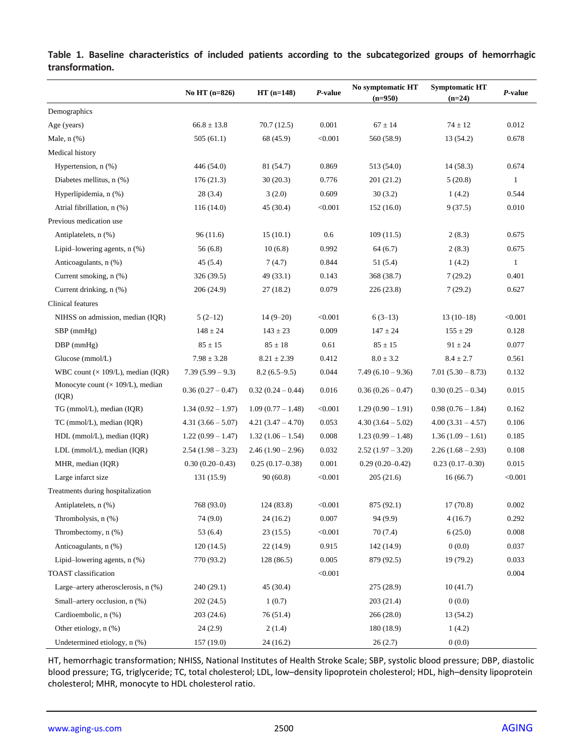|                                                   | No HT $(n=826)$     | $HT(n=148)$         | P-value | No symptomatic HT<br>$(n=950)$ | <b>Symptomatic HT</b><br>$(n=24)$ | P-value |
|---------------------------------------------------|---------------------|---------------------|---------|--------------------------------|-----------------------------------|---------|
| Demographics                                      |                     |                     |         |                                |                                   |         |
| Age (years)                                       | $66.8 \pm 13.8$     | 70.7(12.5)          | 0.001   | $67 \pm 14$                    | $74 \pm 12$                       | 0.012   |
| Male, n (%)                                       | 505(61.1)           | 68 (45.9)           | < 0.001 | 560 (58.9)                     | 13 (54.2)                         | 0.678   |
| Medical history                                   |                     |                     |         |                                |                                   |         |
| Hypertension, n (%)                               | 446 (54.0)          | 81 (54.7)           | 0.869   | 513 (54.0)                     | 14 (58.3)                         | 0.674   |
| Diabetes mellitus, n (%)                          | 176(21.3)           | 30(20.3)            | 0.776   | 201 (21.2)                     | 5(20.8)                           | 1       |
| Hyperlipidemia, n (%)                             | 28(3.4)             | 3(2.0)              | 0.609   | 30(3.2)                        | 1(4.2)                            | 0.544   |
| Atrial fibrillation, n (%)                        | 116 (14.0)          | 45 (30.4)           | < 0.001 | 152 (16.0)                     | 9(37.5)                           | 0.010   |
| Previous medication use                           |                     |                     |         |                                |                                   |         |
| Antiplatelets, n (%)                              | 96(11.6)            | 15(10.1)            | 0.6     | 109(11.5)                      | 2(8.3)                            | 0.675   |
| Lipid-lowering agents, $n$ $%$ )                  | 56(6.8)             | 10(6.8)             | 0.992   | 64(6.7)                        | 2(8.3)                            | 0.675   |
| Anticoagulants, n (%)                             | 45(5.4)             | 7(4.7)              | 0.844   | 51 (5.4)                       | 1(4.2)                            | 1       |
| Current smoking, n (%)                            | 326 (39.5)          | 49 (33.1)           | 0.143   | 368 (38.7)                     | 7(29.2)                           | 0.401   |
| Current drinking, n (%)                           | 206(24.9)           | 27(18.2)            | 0.079   | 226 (23.8)                     | 7(29.2)                           | 0.627   |
| <b>Clinical features</b>                          |                     |                     |         |                                |                                   |         |
| NIHSS on admission, median (IQR)                  | $5(2-12)$           | $14(9-20)$          | < 0.001 | $6(3-13)$                      | $13(10-18)$                       | < 0.001 |
| $SBP$ (mmHg)                                      | $148 \pm 24$        | $143 \pm 23$        | 0.009   | $147 \pm 24$                   | $155 \pm 29$                      | 0.128   |
| $DBP$ (mmHg)                                      | $85 \pm 15$         | $85 \pm 18$         | 0.61    | $85 \pm 15$                    | $91 \pm 24$                       | 0.077   |
| Glucose (mmol/L)                                  | $7.98 \pm 3.28$     | $8.21 \pm 2.39$     | 0.412   | $8.0 \pm 3.2$                  | $8.4 \pm 2.7$                     | 0.561   |
| WBC count $(\times 109/L)$ , median (IQR)         | $7.39(5.99 - 9.3)$  | $8.2(6.5-9.5)$      | 0.044   | $7.49(6.10 - 9.36)$            | $7.01(5.30 - 8.73)$               | 0.132   |
| Monocyte count $(\times 109/L)$ , median<br>(IQR) | $0.36(0.27-0.47)$   | $0.32(0.24-0.44)$   | 0.016   | $0.36(0.26-0.47)$              | $0.30(0.25-0.34)$                 | 0.015   |
| TG (mmol/L), median (IQR)                         | $1.34(0.92 - 1.97)$ | $1.09(0.77 - 1.48)$ | < 0.001 | $1.29(0.90 - 1.91)$            | $0.98(0.76 - 1.84)$               | 0.162   |
| TC (mmol/L), median (IQR)                         | $4.31(3.66 - 5.07)$ | $4.21(3.47 - 4.70)$ | 0.053   | $4.30(3.64 - 5.02)$            | $4.00(3.31 - 4.57)$               | 0.106   |
| HDL (mmol/L), median (IQR)                        | $1.22(0.99 - 1.47)$ | $1.32(1.06 - 1.54)$ | 0.008   | $1.23(0.99 - 1.48)$            | $1.36(1.09 - 1.61)$               | 0.185   |
| LDL (mmol/L), median (IQR)                        | $2.54(1.98 - 3.23)$ | $2.46(1.90-2.96)$   | 0.032   | $2.52(1.97 - 3.20)$            | $2.26(1.68-2.93)$                 | 0.108   |
| MHR, median (IQR)                                 | $0.30(0.20 - 0.43)$ | $0.25(0.17-0.38)$   | 0.001   | $0.29(0.20 - 0.42)$            | $0.23(0.17-0.30)$                 | 0.015   |
| Large infarct size                                | 131 (15.9)          | 90(60.8)            | < 0.001 | 205(21.6)                      | 16(66.7)                          | < 0.001 |
| Treatments during hospitalization                 |                     |                     |         |                                |                                   |         |
| Antiplatelets, n (%)                              | 768 (93.0)          | 124 (83.8)          | < 0.001 | 875 (92.1)                     | 17(70.8)                          | 0.002   |
| Thrombolysis, n (%)                               | 74 (9.0)            | 24(16.2)            | 0.007   | 94 (9.9)                       | 4(16.7)                           | 0.292   |
| Thrombectomy, n (%)                               | 53 $(6.4)$          | 23(15.5)            | < 0.001 | 70(7.4)                        | 6(25.0)                           | 0.008   |
| Anticoagulants, n (%)                             | 120(14.5)           | 22(14.9)            | 0.915   | 142 (14.9)                     | 0(0.0)                            | 0.037   |
| Lipid-lowering agents, $n$ $%$ )                  | 770 (93.2)          | 128(86.5)           | 0.005   | 879 (92.5)                     | 19(79.2)                          | 0.033   |
| TOAST classification                              |                     |                     | < 0.001 |                                |                                   | 0.004   |
| Large-artery atherosclerosis, n (%)               | 240(29.1)           | 45(30.4)            |         | 275 (28.9)                     | 10(41.7)                          |         |
| Small-artery occlusion, n (%)                     | 202(24.5)           | 1(0.7)              |         | 203(21.4)                      | 0(0.0)                            |         |
| Cardioembolic, n (%)                              | 203(24.6)           | 76 (51.4)           |         | 266(28.0)                      | 13 (54.2)                         |         |
| Other etiology, n (%)                             | 24(2.9)             | 2(1.4)              |         | 180 (18.9)                     | 1(4.2)                            |         |
| Undetermined etiology, n (%)                      | 157 (19.0)          | 24 (16.2)           |         | 26(2.7)                        | 0(0.0)                            |         |

**Table 1. Baseline characteristics of included patients according to the subcategorized groups of hemorrhagic transformation.**

HT, hemorrhagic transformation; NHISS, National Institutes of Health Stroke Scale; SBP, systolic blood pressure; DBP, diastolic blood pressure; TG, triglyceride; TC, total cholesterol; LDL, low–density lipoprotein cholesterol; HDL, high–density lipoprotein cholesterol; MHR, monocyte to HDL cholesterol ratio.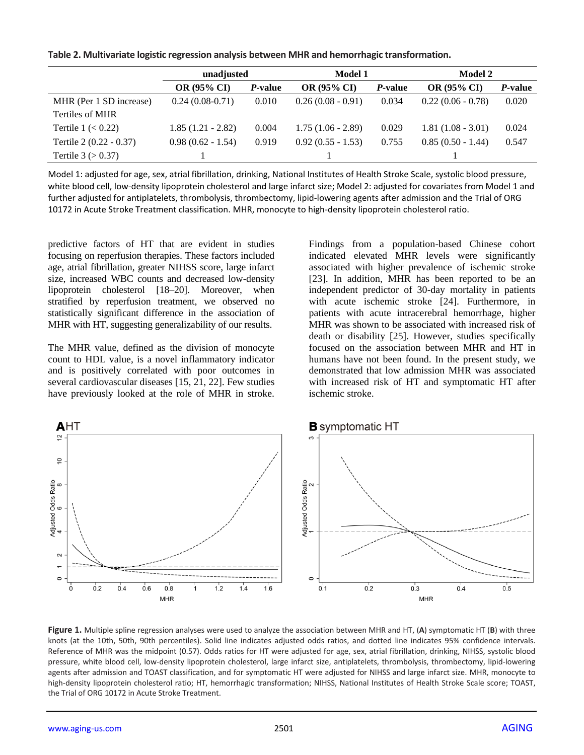|  |  |  | Table 2. Multivariate logistic regression analysis between MHR and hemorrhagic transformation. |  |
|--|--|--|------------------------------------------------------------------------------------------------|--|
|--|--|--|------------------------------------------------------------------------------------------------|--|

|                         | unadjusted          |                 | <b>Model 1</b>      |                 | <b>Model 2</b>      |                 |
|-------------------------|---------------------|-----------------|---------------------|-----------------|---------------------|-----------------|
|                         | <b>OR (95% CI)</b>  | <i>P</i> -value | <b>OR (95% CI)</b>  | <i>P</i> -value | <b>OR (95% CI)</b>  | <i>P</i> -value |
| MHR (Per 1 SD increase) | $0.24(0.08-0.71)$   | 0.010           | $0.26(0.08 - 0.91)$ | 0.034           | $0.22(0.06 - 0.78)$ | 0.020           |
| Tertiles of MHR         |                     |                 |                     |                 |                     |                 |
| Tertile $1 \le 0.22$    | $1.85(1.21 - 2.82)$ | 0.004           | $1.75(1.06 - 2.89)$ | 0.029           | $1.81(1.08 - 3.01)$ | 0.024           |
| Tertile 2 (0.22 - 0.37) | $0.98(0.62 - 1.54)$ | 0.919           | $0.92(0.55 - 1.53)$ | 0.755           | $0.85(0.50 - 1.44)$ | 0.547           |
| Tertile $3 (> 0.37)$    |                     |                 |                     |                 |                     |                 |

Model 1: adjusted for age, sex, atrial fibrillation, drinking, National Institutes of Health Stroke Scale, systolic blood pressure, white blood cell, low-density lipoprotein cholesterol and large infarct size; Model 2: adjusted for covariates from Model 1 and further adjusted for antiplatelets, thrombolysis, thrombectomy, lipid-lowering agents after admission and the Trial of ORG 10172 in Acute Stroke Treatment classification. MHR, monocyte to high-density lipoprotein cholesterol ratio.

predictive factors of HT that are evident in studies focusing on reperfusion therapies. These factors included age, atrial fibrillation, greater NIHSS score, large infarct size, increased WBC counts and decreased low-density lipoprotein cholesterol [18–20]. Moreover, when stratified by reperfusion treatment, we observed no statistically significant difference in the association of MHR with HT, suggesting generalizability of our results.

The MHR value, defined as the division of monocyte count to HDL value, is a novel inflammatory indicator and is positively correlated with poor outcomes in several cardiovascular diseases [15, 21, 22]. Few studies have previously looked at the role of MHR in stroke. Findings from a population-based Chinese cohort indicated elevated MHR levels were significantly associated with higher prevalence of ischemic stroke [23]. In addition, MHR has been reported to be an independent predictor of 30-day mortality in patients with acute ischemic stroke [24]. Furthermore, in patients with acute intracerebral hemorrhage, higher MHR was shown to be associated with increased risk of death or disability [25]. However, studies specifically focused on the association between MHR and HT in humans have not been found. In the present study, we demonstrated that low admission MHR was associated with increased risk of HT and symptomatic HT after ischemic stroke.



**Figure 1.** Multiple spline regression analyses were used to analyze the association between MHR and HT, (**A**) symptomatic HT (**B**) with three knots (at the 10th, 50th, 90th percentiles). Solid line indicates adjusted odds ratios, and dotted line indicates 95% confidence intervals. Reference of MHR was the midpoint (0.57). Odds ratios for HT were adjusted for age, sex, atrial fibrillation, drinking, NIHSS, systolic blood pressure, white blood cell, low-density lipoprotein cholesterol, large infarct size, antiplatelets, thrombolysis, thrombectomy, lipid-lowering agents after admission and TOAST classification, and for symptomatic HT were adjusted for NIHSS and large infarct size. MHR, monocyte to high-density lipoprotein cholesterol ratio; HT, hemorrhagic transformation; NIHSS, National Institutes of Health Stroke Scale score; TOAST, the Trial of ORG 10172 in Acute Stroke Treatment.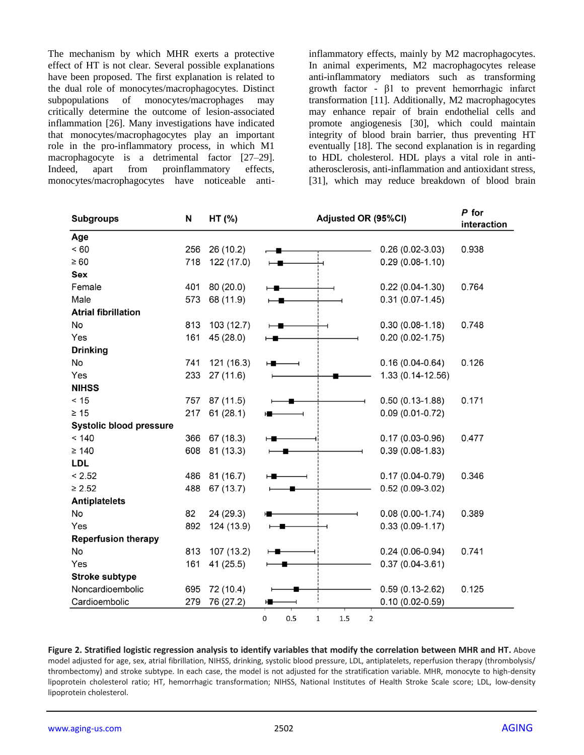The mechanism by which MHR exerts a protective effect of HT is not clear. Several possible explanations have been proposed. The first explanation is related to the dual role of monocytes/macrophagocytes. Distinct subpopulations of monocytes/macrophages may critically determine the outcome of lesion-associated inflammation [26]. Many investigations have indicated that monocytes/macrophagocytes play an important role in the pro-inflammatory process, in which M1 macrophagocyte is a detrimental factor [27–29]. Indeed, apart from proinflammatory effects, monocytes/macrophagocytes have noticeable antiinflammatory effects, mainly by M2 macrophagocytes. In animal experiments, M2 macrophagocytes release anti-inflammatory mediators such as transforming growth factor - β1 to prevent hemorrhagic infarct transformation [11]. Additionally, M2 macrophagocytes may enhance repair of brain endothelial cells and promote angiogenesis [30], which could maintain integrity of blood brain barrier, thus preventing HT eventually [18]. The second explanation is in regarding to HDL cholesterol. HDL plays a vital role in antiatherosclerosis, anti-inflammation and antioxidant stress, [31], which may reduce breakdown of blood brain

| <b>Subgroups</b>               | N   | Adjusted OR (95%CI)<br>HT (%) |   |                     | P for<br>interaction |  |  |
|--------------------------------|-----|-------------------------------|---|---------------------|----------------------|--|--|
| Age                            |     |                               |   |                     |                      |  |  |
| < 60                           | 256 | 26 (10.2)                     |   | $0.26(0.02-3.03)$   | 0.938                |  |  |
| $\geq 60$                      | 718 | 122 (17.0)                    |   | $0.29(0.08-1.10)$   |                      |  |  |
| Sex                            |     |                               |   |                     |                      |  |  |
| Female                         | 401 | 80 (20.0)                     |   | $0.22(0.04-1.30)$   | 0.764                |  |  |
| Male                           | 573 | 68 (11.9)                     |   | $0.31(0.07-1.45)$   |                      |  |  |
| <b>Atrial fibrillation</b>     |     |                               |   |                     |                      |  |  |
| No                             | 813 | 103 (12.7)                    |   | $0.30(0.08-1.18)$   | 0.748                |  |  |
| Yes                            | 161 | 45 (28.0)                     |   | $0.20(0.02 - 1.75)$ |                      |  |  |
| <b>Drinking</b>                |     |                               |   |                     |                      |  |  |
| No                             | 741 | 121 (16.3)                    | н | $0.16(0.04-0.64)$   | 0.126                |  |  |
| Yes                            | 233 | 27(11.6)                      |   | 1.33 (0.14-12.56)   |                      |  |  |
| <b>NIHSS</b>                   |     |                               |   |                     |                      |  |  |
| < 15                           | 757 | 87 (11.5)                     |   | $0.50(0.13-1.88)$   | 0.171                |  |  |
| $\geq 15$                      | 217 | 61(28.1)                      |   | $0.09(0.01-0.72)$   |                      |  |  |
| <b>Systolic blood pressure</b> |     |                               |   |                     |                      |  |  |
| < 140                          | 366 | 67(18.3)                      |   | $0.17(0.03-0.96)$   | 0.477                |  |  |
| $\geq 140$                     | 608 | 81 (13.3)                     |   | $0.39(0.08-1.83)$   |                      |  |  |
| <b>LDL</b>                     |     |                               |   |                     |                      |  |  |
| < 2.52                         | 486 | 81 (16.7)                     |   | $0.17(0.04 - 0.79)$ | 0.346                |  |  |
| $\geq 2.52$                    | 488 | 67(13.7)                      |   | $0.52(0.09-3.02)$   |                      |  |  |
| <b>Antiplatelets</b>           |     |                               |   |                     |                      |  |  |
| No                             | 82  | 24 (29.3)                     |   | $0.08(0.00-1.74)$   | 0.389                |  |  |
| Yes                            | 892 | 124 (13.9)                    |   | $0.33(0.09-1.17)$   |                      |  |  |
| <b>Reperfusion therapy</b>     |     |                               |   |                     |                      |  |  |
| No                             | 813 | 107 (13.2)                    |   | $0.24(0.06-0.94)$   | 0.741                |  |  |
| Yes                            | 161 | 41 (25.5)                     |   | $0.37(0.04 - 3.61)$ |                      |  |  |
| <b>Stroke subtype</b>          |     |                               |   |                     |                      |  |  |
| Noncardioembolic               | 695 | 72 (10.4)                     |   | $0.59(0.13 - 2.62)$ | 0.125                |  |  |
| Cardioembolic                  | 279 | 76 (27.2)                     |   | $0.10(0.02 - 0.59)$ |                      |  |  |

**Figure 2. Stratified logistic regression analysis to identify variables that modify the correlation between MHR and HT.** Above model adjusted for age, sex, atrial fibrillation, NIHSS, drinking, systolic blood pressure, LDL, antiplatelets, reperfusion therapy (thrombolysis/ thrombectomy) and stroke subtype. In each case, the model is not adjusted for the stratification variable. MHR, monocyte to high-density lipoprotein cholesterol ratio; HT, hemorrhagic transformation; NIHSS, National Institutes of Health Stroke Scale score; LDL, low-density lipoprotein cholesterol.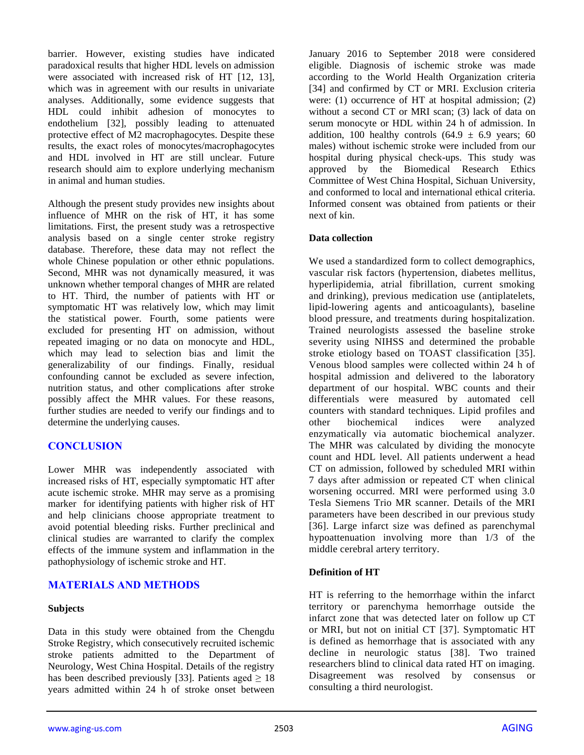barrier. However, existing studies have indicated paradoxical results that higher HDL levels on admission were associated with increased risk of HT [12, 13], which was in agreement with our results in univariate analyses. Additionally, some evidence suggests that HDL could inhibit adhesion of monocytes to endothelium [32], possibly leading to attenuated protective effect of M2 macrophagocytes. Despite these results, the exact roles of monocytes/macrophagocytes and HDL involved in HT are still unclear. Future research should aim to explore underlying mechanism in animal and human studies.

Although the present study provides new insights about influence of MHR on the risk of HT, it has some limitations. First, the present study was a retrospective analysis based on a single center stroke registry database. Therefore, these data may not reflect the whole Chinese population or other ethnic populations. Second, MHR was not dynamically measured, it was unknown whether temporal changes of MHR are related to HT. Third, the number of patients with HT or symptomatic HT was relatively low, which may limit the statistical power. Fourth, some patients were excluded for presenting HT on admission, without repeated imaging or no data on monocyte and HDL, which may lead to selection bias and limit the generalizability of our findings. Finally, residual confounding cannot be excluded as severe infection, nutrition status, and other complications after stroke possibly affect the MHR values. For these reasons, further studies are needed to verify our findings and to determine the underlying causes.

## **CONCLUSION**

Lower MHR was independently associated with increased risks of HT, especially symptomatic HT after acute ischemic stroke. MHR may serve as a promising marker for identifying patients with higher risk of HT and help clinicians choose appropriate treatment to avoid potential bleeding risks. Further preclinical and clinical studies are warranted to clarify the complex effects of the immune system and inflammation in the pathophysiology of ischemic stroke and HT.

## **MATERIALS AND METHODS**

#### **Subjects**

Data in this study were obtained from the Chengdu Stroke Registry, which consecutively recruited ischemic stroke patients admitted to the Department of Neurology, West China Hospital. Details of the registry has been described previously [33]. Patients aged  $\geq 18$ years admitted within 24 h of stroke onset between January 2016 to September 2018 were considered eligible. Diagnosis of ischemic stroke was made according to the World Health Organization criteria [34] and confirmed by CT or MRI. Exclusion criteria were: (1) occurrence of HT at hospital admission; (2) without a second CT or MRI scan; (3) lack of data on serum monocyte or HDL within 24 h of admission. In addition, 100 healthy controls  $(64.9 \pm 6.9 \text{ years}; 60$ males) without ischemic stroke were included from our hospital during physical check-ups. This study was approved by the Biomedical Research Ethics Committee of West China Hospital, Sichuan University, and conformed to local and international ethical criteria. Informed consent was obtained from patients or their next of kin.

## **Data collection**

We used a standardized form to collect demographics, vascular risk factors (hypertension, diabetes mellitus, hyperlipidemia, atrial fibrillation, current smoking and drinking), previous medication use (antiplatelets, lipid-lowering agents and anticoagulants), baseline blood pressure, and treatments during hospitalization. Trained neurologists assessed the baseline stroke severity using NIHSS and determined the probable stroke etiology based on TOAST classification [35]. Venous blood samples were collected within 24 h of hospital admission and delivered to the laboratory department of our hospital. WBC counts and their differentials were measured by automated cell counters with standard techniques. Lipid profiles and other biochemical indices were analyzed enzymatically via automatic biochemical analyzer. The MHR was calculated by dividing the monocyte count and HDL level. All patients underwent a head CT on admission, followed by scheduled MRI within 7 days after admission or repeated CT when clinical worsening occurred. MRI were performed using 3.0 Tesla Siemens Trio MR scanner. Details of the MRI parameters have been described in our previous study [36]. Large infarct size was defined as parenchymal hypoattenuation involving more than 1/3 of the middle cerebral artery territory.

#### **Definition of HT**

HT is referring to the hemorrhage within the infarct territory or parenchyma hemorrhage outside the infarct zone that was detected later on follow up CT or MRI, but not on initial CT [37]. Symptomatic HT is defined as hemorrhage that is associated with any decline in neurologic status [38]. Two trained researchers blind to clinical data rated HT on imaging. Disagreement was resolved by consensus or consulting a third neurologist.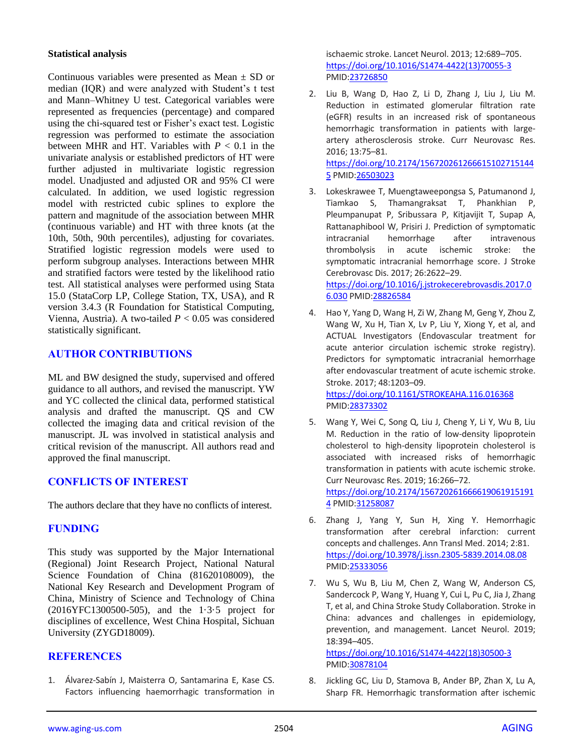#### **Statistical analysis**

Continuous variables were presented as Mean  $\pm$  SD or median (IQR) and were analyzed with Student's t test and Mann–Whitney U test. Categorical variables were represented as frequencies (percentage) and compared using the chi-squared test or Fisher's exact test. Logistic regression was performed to estimate the association between MHR and HT. Variables with  $P < 0.1$  in the univariate analysis or established predictors of HT were further adjusted in multivariate logistic regression model. Unadjusted and adjusted OR and 95% CI were calculated. In addition, we used logistic regression model with restricted cubic splines to explore the pattern and magnitude of the association between MHR (continuous variable) and HT with three knots (at the 10th, 50th, 90th percentiles), adjusting for covariates. Stratified logistic regression models were used to perform subgroup analyses. Interactions between MHR and stratified factors were tested by the likelihood ratio test. All statistical analyses were performed using Stata 15.0 (StataCorp LP, College Station, TX, USA), and R version 3.4.3 (R Foundation for Statistical Computing, Vienna, Austria). A two-tailed *P* < 0.05 was considered statistically significant.

## **AUTHOR CONTRIBUTIONS**

ML and BW designed the study, supervised and offered guidance to all authors, and revised the manuscript. YW and YC collected the clinical data, performed statistical analysis and drafted the manuscript. QS and CW collected the imaging data and critical revision of the manuscript. JL was involved in statistical analysis and critical revision of the manuscript. All authors read and approved the final manuscript.

# **CONFLICTS OF INTEREST**

The authors declare that they have no conflicts of interest.

# **FUNDING**

This study was supported by the Major International (Regional) Joint Research Project, National Natural Science Foundation of China (81620108009), the National Key Research and Development Program of China, Ministry of Science and Technology of China (2016YFC1300500-505), and the 1·3·5 project for disciplines of excellence, West China Hospital, Sichuan University (ZYGD18009).

## **REFERENCES**

1. Álvarez-Sabín J, Maisterra O, Santamarina E, Kase CS. Factors influencing haemorrhagic transformation in

ischaemic stroke. Lancet Neurol. 2013; 12:689–705. [https://doi.org/10.1016/S1474-4422\(13\)70055-3](https://doi.org/10.1016/S1474-4422%2813%2970055-3) PMI[D:23726850](https://www.ncbi.nlm.nih.gov/pubmed/23726850)

2. Liu B, Wang D, Hao Z, Li D, Zhang J, Liu J, Liu M. Reduction in estimated glomerular filtration rate (eGFR) results in an increased risk of spontaneous hemorrhagic transformation in patients with largeartery atherosclerosis stroke. Curr Neurovasc Res. 2016; 13:75–81.

[https://doi.org/10.2174/156720261266615102715144](https://doi.org/10.2174/1567202612666151027151445) [5](https://doi.org/10.2174/1567202612666151027151445) PMI[D:26503023](https://www.ncbi.nlm.nih.gov/pubmed/26503023)

- 3. Lokeskrawee T, Muengtaweepongsa S, Patumanond J, Tiamkao S, Thamangraksat T, Phankhian P, Pleumpanupat P, Sribussara P, Kitjavijit T, Supap A, Rattanaphibool W, Prisiri J. Prediction of symptomatic intracranial hemorrhage after intravenous thrombolysis in acute ischemic stroke: the symptomatic intracranial hemorrhage score. J Stroke Cerebrovasc Dis. 2017; 26:2622–29. [https://doi.org/10.1016/j.jstrokecerebrovasdis.2017.0](https://doi.org/10.1016/j.jstrokecerebrovasdis.2017.06.030) [6.030](https://doi.org/10.1016/j.jstrokecerebrovasdis.2017.06.030) PMID[:28826584](https://www.ncbi.nlm.nih.gov/pubmed/28826584)
- 4. Hao Y, Yang D, Wang H, Zi W, Zhang M, Geng Y, Zhou Z, Wang W, Xu H, Tian X, Lv P, Liu Y, Xiong Y, et al, and ACTUAL Investigators (Endovascular treatment for acute anterior circulation ischemic stroke registry). Predictors for symptomatic intracranial hemorrhage after endovascular treatment of acute ischemic stroke. Stroke. 2017; 48:1203–09. <https://doi.org/10.1161/STROKEAHA.116.016368>

PMI[D:28373302](https://www.ncbi.nlm.nih.gov/pubmed/28373302)

- 5. Wang Y, Wei C, Song Q, Liu J, Cheng Y, Li Y, Wu B, Liu M. Reduction in the ratio of low-density lipoprotein cholesterol to high-density lipoprotein cholesterol is associated with increased risks of hemorrhagic transformation in patients with acute ischemic stroke. Curr Neurovasc Res. 2019; 16:266–72. [https://doi.org/10.2174/156720261666619061915191](https://doi.org/10.2174/1567202616666190619151914) [4](https://doi.org/10.2174/1567202616666190619151914) PMI[D:31258087](https://www.ncbi.nlm.nih.gov/pubmed/31258087)
- 6. Zhang J, Yang Y, Sun H, Xing Y. Hemorrhagic transformation after cerebral infarction: current concepts and challenges. Ann Transl Med. 2014; 2:81. <https://doi.org/10.3978/j.issn.2305-5839.2014.08.08> PMI[D:25333056](https://www.ncbi.nlm.nih.gov/pubmed/25333056)
- 7. Wu S, Wu B, Liu M, Chen Z, Wang W, Anderson CS, Sandercock P, Wang Y, Huang Y, Cui L, Pu C, Jia J, Zhang T, et al, and China Stroke Study Collaboration. Stroke in China: advances and challenges in epidemiology, prevention, and management. Lancet Neurol. 2019; 18:394–405.

[https://doi.org/10.1016/S1474-4422\(18\)30500-3](https://doi.org/10.1016/S1474-4422%2818%2930500-3) PMI[D:30878104](https://www.ncbi.nlm.nih.gov/pubmed/30878104)

8. Jickling GC, Liu D, Stamova B, Ander BP, Zhan X, Lu A, Sharp FR. Hemorrhagic transformation after ischemic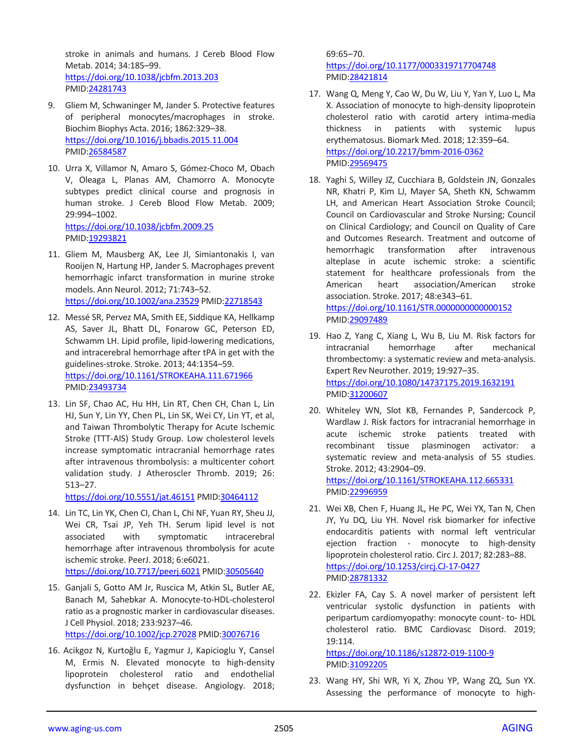stroke in animals and humans. J Cereb Blood Flow Metab. 2014; 34:185–99. <https://doi.org/10.1038/jcbfm.2013.203> PMID[:24281743](https://www.ncbi.nlm.nih.gov/pubmed/24281743)

- 9. Gliem M, Schwaninger M, Jander S. Protective features of peripheral monocytes/macrophages in stroke. Biochim Biophys Acta. 2016; 1862:329–38. <https://doi.org/10.1016/j.bbadis.2015.11.004> PMID[:26584587](https://www.ncbi.nlm.nih.gov/pubmed/26584587)
- 10. Urra X, Villamor N, Amaro S, Gómez-Choco M, Obach V, Oleaga L, Planas AM, Chamorro A. Monocyte subtypes predict clinical course and prognosis in human stroke. J Cereb Blood Flow Metab. 2009; 29:994–1002. <https://doi.org/10.1038/jcbfm.2009.25> PMID[:19293821](https://www.ncbi.nlm.nih.gov/pubmed/19293821)
- 11. Gliem M, Mausberg AK, Lee JI, Simiantonakis I, van Rooijen N, Hartung HP, Jander S. Macrophages prevent hemorrhagic infarct transformation in murine stroke models. Ann Neurol. 2012; 71:743–52. <https://doi.org/10.1002/ana.23529> PMI[D:22718543](https://www.ncbi.nlm.nih.gov/pubmed/22718543)
- 12. Messé SR, Pervez MA, Smith EE, Siddique KA, Hellkamp AS, Saver JL, Bhatt DL, Fonarow GC, Peterson ED, Schwamm LH. Lipid profile, lipid-lowering medications, and intracerebral hemorrhage after tPA in get with the guidelines-stroke. Stroke. 2013; 44:1354–59. <https://doi.org/10.1161/STROKEAHA.111.671966> PMID[:23493734](https://www.ncbi.nlm.nih.gov/pubmed/23493734)
- 13. Lin SF, Chao AC, Hu HH, Lin RT, Chen CH, Chan L, Lin HJ, Sun Y, Lin YY, Chen PL, Lin SK, Wei CY, Lin YT, et al, and Taiwan Thrombolytic Therapy for Acute Ischemic Stroke (TTT-AIS) Study Group. Low cholesterol levels increase symptomatic intracranial hemorrhage rates after intravenous thrombolysis: a multicenter cohort validation study. J Atheroscler Thromb. 2019; 26: 513–27.

<https://doi.org/10.5551/jat.46151> PMID[:30464112](https://www.ncbi.nlm.nih.gov/pubmed/30464112)

- 14. Lin TC, Lin YK, Chen CI, Chan L, Chi NF, Yuan RY, Sheu JJ, Wei CR, Tsai JP, Yeh TH. Serum lipid level is not associated with symptomatic intracerebral hemorrhage after intravenous thrombolysis for acute ischemic stroke. PeerJ. 2018; 6:e6021. <https://doi.org/10.7717/peerj.6021> PMI[D:30505640](https://www.ncbi.nlm.nih.gov/pubmed/30505640)
- 15. Ganjali S, Gotto AM Jr, Ruscica M, Atkin SL, Butler AE, Banach M, Sahebkar A. Monocyte-to-HDL-cholesterol ratio as a prognostic marker in cardiovascular diseases. J Cell Physiol. 2018; 233:9237–46.

<https://doi.org/10.1002/jcp.27028> PMI[D:30076716](https://www.ncbi.nlm.nih.gov/pubmed/30076716)

16. Acikgoz N, Kurtoğlu E, Yagmur J, Kapicioglu Y, Cansel M, Ermis N. Elevated monocyte to high-density lipoprotein cholesterol ratio and endothelial dysfunction in behçet disease. Angiology. 2018;

69:65–70. <https://doi.org/10.1177/0003319717704748> PMI[D:28421814](https://www.ncbi.nlm.nih.gov/pubmed/28421814)

- 17. Wang Q, Meng Y, Cao W, Du W, Liu Y, Yan Y, Luo L, Ma X. Association of monocyte to high-density lipoprotein cholesterol ratio with carotid artery intima-media thickness in patients with systemic lupus erythematosus. Biomark Med. 2018; 12:359–64. <https://doi.org/10.2217/bmm-2016-0362> PMI[D:29569475](https://www.ncbi.nlm.nih.gov/pubmed/29569475)
- 18. Yaghi S, Willey JZ, Cucchiara B, Goldstein JN, Gonzales NR, Khatri P, Kim LJ, Mayer SA, Sheth KN, Schwamm LH, and American Heart Association Stroke Council; Council on Cardiovascular and Stroke Nursing; Council on Clinical Cardiology; and Council on Quality of Care and Outcomes Research. Treatment and outcome of hemorrhagic transformation after intravenous alteplase in acute ischemic stroke: a scientific statement for healthcare professionals from the American heart association/American stroke association. Stroke. 2017; 48:e343–61. <https://doi.org/10.1161/STR.0000000000000152> PMI[D:29097489](https://www.ncbi.nlm.nih.gov/pubmed/29097489)
- 19. Hao Z, Yang C, Xiang L, Wu B, Liu M. Risk factors for intracranial hemorrhage after mechanical thrombectomy: a systematic review and meta-analysis. Expert Rev Neurother. 2019; 19:927–35. <https://doi.org/10.1080/14737175.2019.1632191> PMI[D:31200607](https://www.ncbi.nlm.nih.gov/pubmed/31200607)
- 20. Whiteley WN, Slot KB, Fernandes P, Sandercock P, Wardlaw J. Risk factors for intracranial hemorrhage in acute ischemic stroke patients treated with recombinant tissue plasminogen activator: a systematic review and meta-analysis of 55 studies. Stroke. 2012; 43:2904–09.

<https://doi.org/10.1161/STROKEAHA.112.665331> PMI[D:22996959](https://www.ncbi.nlm.nih.gov/pubmed/22996959)

- 21. Wei XB, Chen F, Huang JL, He PC, Wei YX, Tan N, Chen JY, Yu DQ, Liu YH. Novel risk biomarker for infective endocarditis patients with normal left ventricular ejection fraction - monocyte to high-density lipoprotein cholesterol ratio. Circ J. 2017; 82:283–88. <https://doi.org/10.1253/circj.CJ-17-0427> PMI[D:28781332](https://www.ncbi.nlm.nih.gov/pubmed/28781332)
- 22. Ekizler FA, Cay S. A novel marker of persistent left ventricular systolic dysfunction in patients with peripartum cardiomyopathy: monocyte count- to- HDL cholesterol ratio. BMC Cardiovasc Disord. 2019; 19:114.

<https://doi.org/10.1186/s12872-019-1100-9> PMI[D:31092205](https://www.ncbi.nlm.nih.gov/pubmed/31092205)

23. Wang HY, Shi WR, Yi X, Zhou YP, Wang ZQ, Sun YX. Assessing the performance of monocyte to high